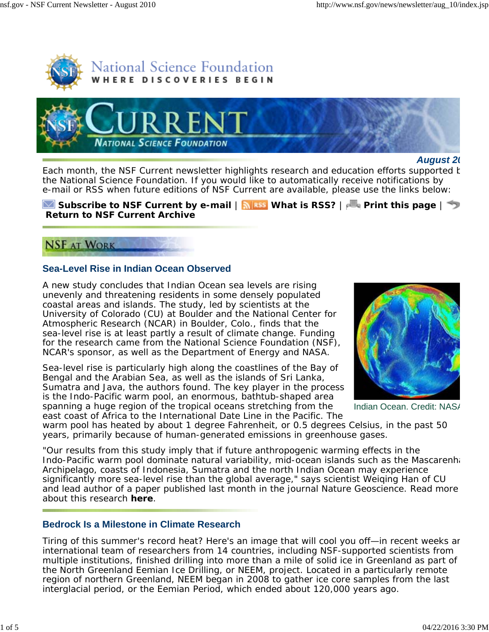



#### *August 20*

Each month, the *NSF Current* newsletter highlights research and education efforts supported b the National Science Foundation. If you would like to automatically receive notifications by e-mail or RSS when future editions of *NSF Current* are available, please use the links below:

**Subscribe to** *NSF Current* **by e-mail | <b>Nikss** What is RSS? | **Print this page** |  $\rightarrow$ **Return to** *NSF Current* **Archive**

# **NSF AT WORK**

### **Sea-Level Rise in Indian Ocean Observed**

A new study concludes that Indian Ocean sea levels are rising unevenly and threatening residents in some densely populated coastal areas and islands. The study, led by scientists at the University of Colorado (CU) at Boulder and the National Center for Atmospheric Research (NCAR) in Boulder, Colo., finds that the sea-level rise is at least partly a result of climate change. Funding for the research came from the National Science Foundation (NSF), NCAR's sponsor, as well as the Department of Energy and NASA.

Sea-level rise is particularly high along the coastlines of the Bay of Bengal and the Arabian Sea, as well as the islands of Sri Lanka, Sumatra and Java, the authors found. The key player in the process is the Indo-Pacific warm pool, an enormous, bathtub-shaped area spanning a huge region of the tropical oceans stretching from the east coast of Africa to the International Date Line in the Pacific. The



Indian Ocean. Credit: NAS/

warm pool has heated by about 1 degree Fahrenheit, or 0.5 degrees Celsius, in the past 50 years, primarily because of human-generated emissions in greenhouse gases.

"Our results from this study imply that if future anthropogenic warming effects in the Indo-Pacific warm pool dominate natural variability, mid-ocean islands such as the Mascarenha Archipelago, coasts of Indonesia, Sumatra and the north Indian Ocean may experience significantly more sea-level rise than the global average," says scientist Weiqing Han of CU and lead author of a paper published last month in the journal *Nature Geoscience*. Read more about this research **here**.

### **Bedrock Is a Milestone in Climate Research**

Tiring of this summer's record heat? Here's an image that will cool you off—in recent weeks an international team of researchers from 14 countries, including NSF-supported scientists from multiple institutions, finished drilling into more than a mile of solid ice in Greenland as part of the North Greenland Eemian Ice Drilling, or NEEM, project. Located in a particularly remote region of northern Greenland, NEEM began in 2008 to gather ice core samples from the last interglacial period, or the Eemian Period, which ended about 120,000 years ago.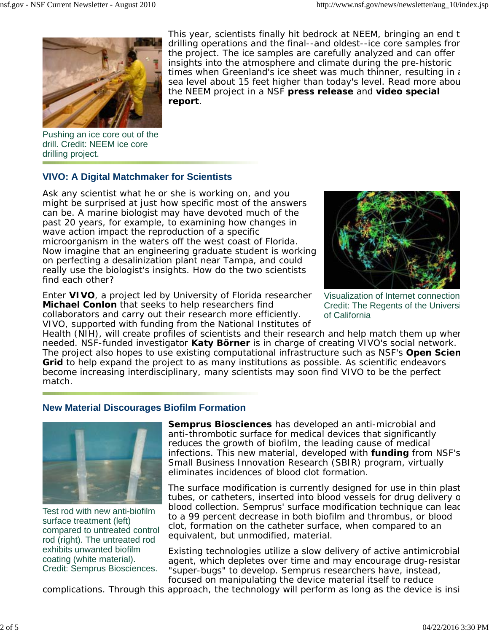

This year, scientists finally hit bedrock at NEEM, bringing an end t drilling operations and the final--and oldest--ice core samples from the project. The ice samples are carefully analyzed and can offer insights into the atmosphere and climate during the pre-historic times when Greenland's ice sheet was much thinner, resulting in  $\epsilon$ sea level about 15 feet higher than today's level. Read more abou the NEEM project in a NSF **press release** and **video special report**.

Pushing an ice core out of the drill. Credit: NEEM ice core drilling project.

## **VIVO: A Digital Matchmaker for Scientists**

Ask any scientist what he or she is working on, and you might be surprised at just how specific most of the answers can be. A marine biologist may have devoted much of the past 20 years, for example, to examining how changes in wave action impact the reproduction of a specific microorganism in the waters off the west coast of Florida. Now imagine that an engineering graduate student is working on perfecting a desalinization plant near Tampa, and could really use the biologist's insights. How do the two scientists find each other?

Enter **VIVO**, a project led by University of Florida researcher **Michael Conlon** that seeks to help researchers find collaborators and carry out their research more efficiently. VIVO, supported with funding from the National Institutes of



Visualization of Internet connection Credit: The Regents of the Universi of California

Health (NIH), will create profiles of scientists and their research and help match them up when needed. NSF-funded investigator **Katy Börner** is in charge of creating VIVO's social network. The project also hopes to use existing computational infrastructure such as NSF's **Open Scien Grid** to help expand the project to as many institutions as possible. As scientific endeavors become increasing interdisciplinary, many scientists may soon find VIVO to be the perfect match.

# **New Material Discourages Biofilm Formation**



Test rod with new anti-biofilm surface treatment (left) compared to untreated control rod (right). The untreated rod exhibits unwanted biofilm coating (white material). Credit: Semprus Biosciences.

**Semprus Biosciences** has developed an anti-microbial and anti-thrombotic surface for medical devices that significantly reduces the growth of biofilm, the leading cause of medical infections. This new material, developed with **funding** from NSF's Small Business Innovation Research (SBIR) program, virtually eliminates incidences of blood clot formation.

The surface modification is currently designed for use in thin plast tubes, or catheters, inserted into blood vessels for drug delivery o blood collection. Semprus' surface modification technique can lead to a 99 percent decrease in both biofilm and thrombus, or blood clot, formation on the catheter surface, when compared to an equivalent, but unmodified, material.

Existing technologies utilize a slow delivery of active antimicrobial agent, which depletes over time and may encourage drug-resistan "super-bugs" to develop. Semprus researchers have, instead, focused on manipulating the device material itself to reduce

complications. Through this approach, the technology will perform as long as the device is insi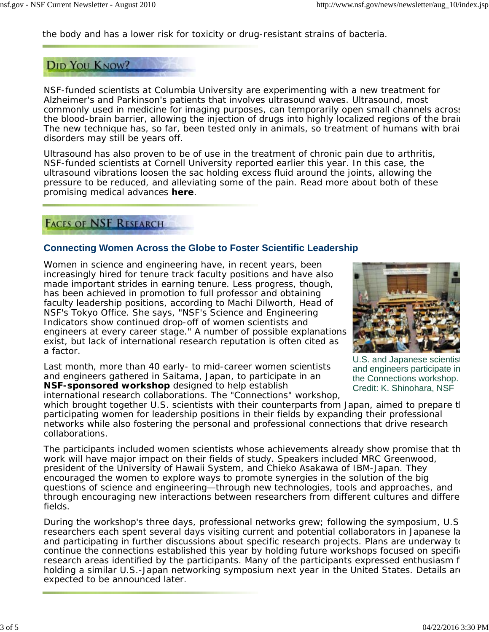the body and has a lower risk for toxicity or drug-resistant strains of bacteria.

# **DID YOU KNOW?**

NSF-funded scientists at Columbia University are experimenting with a new treatment for Alzheimer's and Parkinson's patients that involves ultrasound waves. Ultrasound, most commonly used in medicine for imaging purposes, can temporarily open small channels across the blood-brain barrier, allowing the injection of drugs into highly localized regions of the brain The new technique has, so far, been tested only in animals, so treatment of humans with brai disorders may still be years off.

Ultrasound has also proven to be of use in the treatment of chronic pain due to arthritis, NSF-funded scientists at Cornell University reported earlier this year. In this case, the ultrasound vibrations loosen the sac holding excess fluid around the joints, allowing the pressure to be reduced, and alleviating some of the pain. Read more about both of these promising medical advances **here**.

## **FACES OF NSF RESEARCH**

## **Connecting Women Across the Globe to Foster Scientific Leadership**

Women in science and engineering have, in recent years, been increasingly hired for tenure track faculty positions and have also made important strides in earning tenure. Less progress, though, has been achieved in promotion to full professor and obtaining faculty leadership positions, according to Machi Dilworth, Head of NSF's Tokyo Office. She says, "NSF's Science and Engineering Indicators show continued drop-off of women scientists and engineers at every career stage." A number of possible explanations exist, but lack of international research reputation is often cited as a factor.

Last month, more than 40 early- to mid-career women scientists and engineers gathered in Saitama, Japan, to participate in an **NSF-sponsored workshop** designed to help establish

international research collaborations. The "Connections" workshop,



U.S. and Japanese scientist and engineers participate in the Connections workshop. Credit: K. Shinohara, NSF

which brought together U.S. scientists with their counterparts from Japan, aimed to prepare the participating women for leadership positions in their fields by expanding their professional networks while also fostering the personal and professional connections that drive research collaborations.

The participants included women scientists whose achievements already show promise that th work will have major impact on their fields of study. Speakers included MRC Greenwood, president of the University of Hawaii System, and Chieko Asakawa of IBM-Japan. They encouraged the women to explore ways to promote synergies in the solution of the big questions of science and engineering—through new technologies, tools and approaches, and through encouraging new interactions between researchers from different cultures and differe fields.

During the workshop's three days, professional networks grew; following the symposium, U.S researchers each spent several days visiting current and potential collaborators in Japanese la and participating in further discussions about specific research projects. Plans are underway to continue the connections established this year by holding future workshops focused on specific research areas identified by the participants. Many of the participants expressed enthusiasm f holding a similar U.S.-Japan networking symposium next year in the United States. Details are expected to be announced later.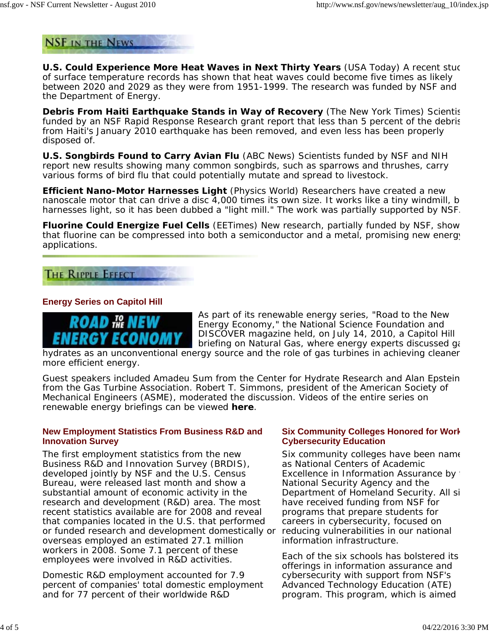**NSF IN THE NEWS** 

**U.S. Could Experience More Heat Waves in Next Thirty Years** (*USA Today*) A recent stuc of surface temperature records has shown that heat waves could become five times as likely between 2020 and 2029 as they were from 1951-1999. The research was funded by NSF and the Department of Energy.

**Debris From Haiti Earthquake Stands in Way of Recovery** (*The New York Times*) Scientis funded by an NSF Rapid Response Research grant report that less than 5 percent of the debris from Haiti's January 2010 earthquake has been removed, and even less has been properly disposed of.

**U.S. Songbirds Found to Carry Avian Flu** (*ABC News*) Scientists funded by NSF and NIH report new results showing many common songbirds, such as sparrows and thrushes, carry various forms of bird flu that could potentially mutate and spread to livestock.

**Efficient Nano-Motor Harnesses Light** (*Physics World*) Researchers have created a new nanoscale motor that can drive a disc 4,000 times its own size. It works like a tiny windmill, b harnesses light, so it has been dubbed a "light mill." The work was partially supported by NSF.

**Fluorine Could Energize Fuel Cells** (*EETimes*) New research, partially funded by NSF, show that fluorine can be compressed into both a semiconductor and a metal, promising new energy applications.

# **THE RIPPLE EFFECT**

### **Energy Series on Capitol Hill**



As part of its renewable energy series, "Road to the New Energy Economy," the National Science Foundation and DISCOVER magazine held, on July 14, 2010, a Capitol Hill briefing on *Natural Gas*, where energy experts discussed ga

hydrates as an unconventional energy source and the role of gas turbines in achieving cleaner more efficient energy.

Guest speakers included Amadeu Sum from the Center for Hydrate Research and Alan Epstein from the Gas Turbine Association. Robert T. Simmons, president of the American Society of Mechanical Engineers (ASME), moderated the discussion. Videos of the entire series on renewable energy briefings can be viewed **here**.

#### **New Employment Statistics From Business R&D and Innovation Survey**

The first employment statistics from the new Business R&D and Innovation Survey (BRDIS), developed jointly by NSF and the U.S. Census Bureau, were released last month and show a substantial amount of economic activity in the research and development (R&D) area. The most recent statistics available are for 2008 and reveal that companies located in the U.S. that performed or funded research and development domestically or reducing vulnerabilities in our national overseas employed an estimated 27.1 million workers in 2008. Some 7.1 percent of these employees were involved in R&D activities.

Domestic R&D employment accounted for 7.9 percent of companies' total domestic employment and for 77 percent of their worldwide R&D

#### **Six Community Colleges Honored for Work Cybersecurity Education**

Six community colleges have been name as National Centers of Academic Excellence in Information Assurance by National Security Agency and the Department of Homeland Security. All si have received funding from NSF for programs that prepare students for careers in cybersecurity, focused on information infrastructure.

Each of the six schools has bolstered its offerings in information assurance and cybersecurity with support from NSF's Advanced Technology Education (ATE) program. This program, which is aimed